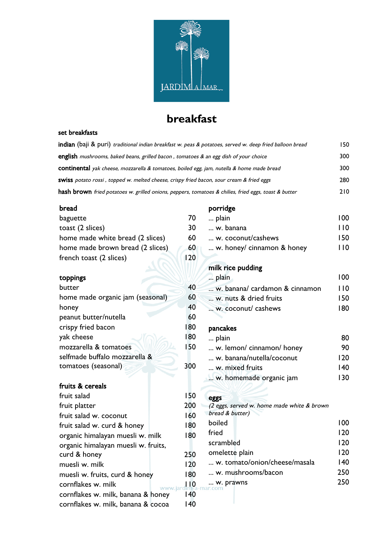

# **breakfast**

#### set breakfasts

| <b>indian</b> (baji & puri) <i>traditional indian breakfast w. peas &amp; potatoes, served w. deep fried balloon bread</i> | 150. |
|----------------------------------------------------------------------------------------------------------------------------|------|
| <b>english</b> mushrooms, baked beans, grilled bacon, tomatoes & an egg dish of your choice                                | 300  |
| <b>continental</b> yak cheese, mozzarella & tomatoes, boiled egg, jam, nutella & home made bread                           | 300  |
| <b>SWISS</b> potato rossi, topped w. melted cheese, crispy fried bacon, sour cream & fried eggs                            | 280  |
| hash brown fried potatoes w. grilled onions, peppers, tomatoes & chilies, fried eggs, toast & butter                       | 210  |

#### bread

| baguette                            | 70              |  |
|-------------------------------------|-----------------|--|
| toast (2 slices)                    | 30              |  |
| home made white bread (2 slices)    | 60              |  |
| home made brown bread (2 slices)    | 60              |  |
| french toast (2 slices)             | 120             |  |
| toppings                            |                 |  |
| butter                              | 40              |  |
| home made organic jam (seasonal)    | 60              |  |
| honey                               | 40              |  |
| peanut butter/nutella               | 60              |  |
| crispy fried bacon                  | 180             |  |
| yak cheese                          | 180             |  |
| mozzarella & tomatoes               | 150             |  |
| selfmade buffalo mozzarella &       |                 |  |
| tomatoes (seasonal)                 | 300             |  |
| fruits & cereals                    |                 |  |
| fruit salad                         | 150             |  |
| fruit platter                       | 200             |  |
| fruit salad w. coconut              | 160             |  |
| fruit salad w. curd & honey         | 180             |  |
| organic himalayan muesli w. milk    | 180             |  |
| organic himalayan muesli w. fruits, |                 |  |
| curd & honey                        | 250             |  |
| muesli w. milk                      | 120             |  |
| muesli w. fruits, curd & honey      | 180             |  |
| cornflakes w. milk                  | $\overline{10}$ |  |
| cornflakes w. milk, banana & honey  | 140             |  |
| cornflakes w. milk, banana & cocoa  | 140             |  |

### porridge

| plain                      | 100 |
|----------------------------|-----|
| w. banana                  | 110 |
| w. coconut/cashews         | 150 |
| w. honey/ cinnamon & honey | 110 |
|                            |     |
| milk rice pudding          |     |

| plain                          | 100 |
|--------------------------------|-----|
| w. banana/ cardamon & cinnamon | 110 |
| w. nuts & dried fruits         | 150 |
| w. coconut/ cashews            | 180 |

### pancakes

| plain                     |     |
|---------------------------|-----|
| w. lemon/ cinnamon/ honey | 90  |
| w. banana/nutella/coconut | 120 |
| w. mixed fruits           | 140 |
| w. homemade organic jam   | 130 |
|                           |     |

### **eggs**

| (2 eggs, served w. home made white & brown |     |
|--------------------------------------------|-----|
| bread & butter)                            |     |
| boiled                                     | 100 |
| fried                                      | 120 |
| scrambled                                  | 120 |
| omelette plain                             | 120 |
| w. tomato/onion/cheese/masala              | 140 |
| w. mushrooms/bacon                         | 250 |
| w. prawns<br>ı-ma                          | 250 |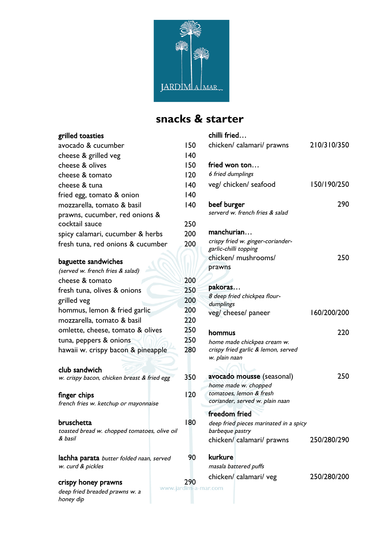

# **snacks & starter**

children fr

### grilled toasties avocado & cucumber 150 cheese & grilled veg 140 cheese & olives 150 cheese & tomato 120 cheese & tuna 140 fried egg, tomato & onion 140 mozzarella, tomato & basil 140 prawns, cucumber, red onions & cocktail sauce 250 spicy calamari, cucumber & herbs 200 fresh tuna, red onions & cucumber 200 baguette sandwiches (served w. french fries & salad) cheese & tomato 200 fresh tuna, olives & onions 250 grilled veg 200 hommus, lemon & fried garlic 200 mozzarella, tomato & basil 220 omlette, cheese, tomato & olives 250 tuna, peppers & onions 250 hawaii w. crispy bacon & pineapple 280 club sandwich w. crispy bacon, chicken breast & fried egg 350 finger chips french fries w. ketchup or mayonnaise 120 bruschetta toasted bread w. chopped tomatoes, olive oil 180

lachha parata butter folded naan, served w. curd & pickles

**crispy honey prawns** 290

& basil

deep fried breaded prawns w. a honey dip

|     | cniii frieg…                                                       |             |
|-----|--------------------------------------------------------------------|-------------|
| 50  | chicken/calamari/prawns                                            | 210/310/350 |
| 40  |                                                                    |             |
| 50  | fried won ton                                                      |             |
| 20  | 6 fried dumplings                                                  |             |
| 40  | veg/ chicken/ seafood                                              | 150/190/250 |
| 40  |                                                                    |             |
| 40  | beef burger                                                        | 290         |
|     | serverd w. french fries & salad                                    |             |
| .50 |                                                                    |             |
| 00  | manchurian                                                         |             |
| 00  | crispy fried w. ginger-coriander-                                  |             |
|     | garlic-chilli topping                                              |             |
|     | chicken/ mushrooms/                                                | 250         |
|     | prawns                                                             |             |
| 00  |                                                                    |             |
| 50  | pakoras                                                            |             |
| :00 | 8 deep fried chickpea flour-                                       |             |
| 00  | dumplings                                                          |             |
| 20  | veg/ cheese/ paneer                                                | 160/200/200 |
| 50  |                                                                    |             |
| 50  | hommus                                                             | 220         |
| 80  | home made chickpea cream w.<br>crispy fried garlic & lemon, served |             |
|     | w. plain naan                                                      |             |
|     |                                                                    |             |
| 50  | avocado mousse (seasonal)                                          | 250         |
|     | home made w. chopped                                               |             |
| 20  | tomatoes, lemon & fresh                                            |             |
|     | coriander, served w. plain naan                                    |             |
|     | freedom fried                                                      |             |
| 80  | deep fried pieces marinated in a spicy                             |             |
|     | barbeque pastry                                                    |             |
|     | chicken/ calamari/ prawns                                          | 250/280/290 |
| 90  | kurkure                                                            |             |
|     | masala battered puffs                                              |             |
| 90  | chicken/ calamari/ veg                                             | 250/280/200 |
|     | m-a-mar.com                                                        |             |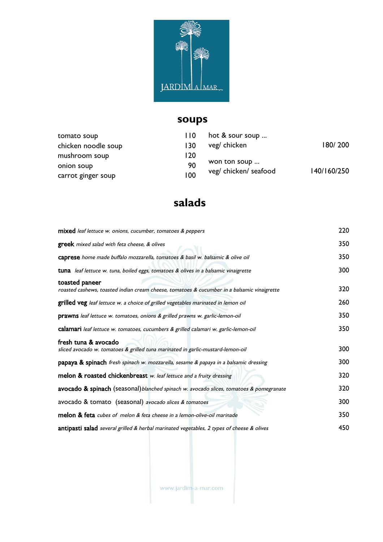

# **soups**

| tomato soup         | 110 | hot & sour soup       |             |
|---------------------|-----|-----------------------|-------------|
| chicken noodle soup | 130 | veg/ chicken          | 180/200     |
| mushroom soup       | 120 |                       |             |
| onion soup          | 90  | won ton soup          |             |
| carrot ginger soup  | 100 | veg/ chicken/ seafood | 140/160/250 |

# **salads**

| mixed leaf lettuce w. onions, cucumber, tomatoes & peppers                                                    | 220 |
|---------------------------------------------------------------------------------------------------------------|-----|
| <b>greek</b> mixed salad with feta cheese, & olives                                                           | 350 |
| caprese home made buffalo mozzarella, tomatoes & basil w. balsamic & olive oil                                | 350 |
| tuna leaf lettuce w. tuna, boiled eggs, tomatoes & olives in a balsamic vinaigrette                           | 300 |
| toasted paneer<br>roasted cashews, toasted indian cream cheese, tomatoes & cucumber in a balsamic vinaigrette | 320 |
| grilled veg leaf lettuce w. a choice of grilled vegetables marinated in lemon oil                             | 260 |
| prawns leaf lettuce w. tomatoes, onions & grilled prawns w. garlic-lemon-oil                                  | 350 |
| calamari leaf lettuce w. tomatoes, cucumbers & grilled calamari w. garlic-lemon-oil                           | 350 |
| fresh tuna & avocado<br>sliced avocado w. tomatoes & grilled tuna marinated in garlic-mustard-lemon-oil       | 300 |
| papaya & spinach fresh spinach w. mozzarella, sesame & papaya in a balsamic dressing                          | 300 |
| melon & roasted chickenbreast w. leaf lettuce and a fruity dressing                                           | 320 |
| avocado & spinach (seasonal) blanched spinach w. avocado slices, tomatoes & pomegranate                       | 320 |
| avocado & tomato (seasonal) avocado slices & tomatoes                                                         | 300 |
| melon & feta cubes of melon & feta cheese in a lemon-olive-oil marinade                                       | 350 |
| antipasti salad several grilled & herbal marinated vegetables, 2 types of cheese & olives                     | 450 |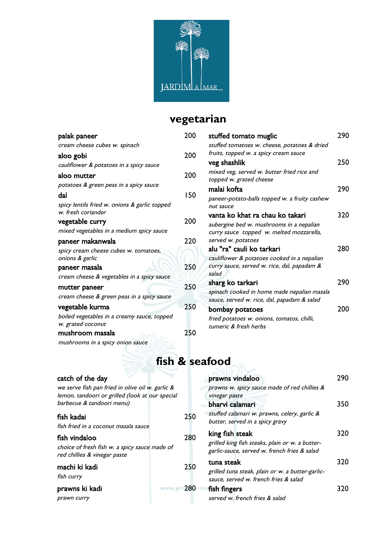

# **vegetarian**

| 200 | stuffed tomato muglic                        | 290                                                                                                                                                                                                                                                                                                                                                       |
|-----|----------------------------------------------|-----------------------------------------------------------------------------------------------------------------------------------------------------------------------------------------------------------------------------------------------------------------------------------------------------------------------------------------------------------|
|     | stuffed tomatoes w. cheese, potatoes & dried |                                                                                                                                                                                                                                                                                                                                                           |
| 200 | fruits, topped w. a spicy cream sauce        |                                                                                                                                                                                                                                                                                                                                                           |
|     |                                              | 250                                                                                                                                                                                                                                                                                                                                                       |
| 200 |                                              |                                                                                                                                                                                                                                                                                                                                                           |
|     |                                              | 290                                                                                                                                                                                                                                                                                                                                                       |
| 150 |                                              |                                                                                                                                                                                                                                                                                                                                                           |
|     | nut sauce                                    |                                                                                                                                                                                                                                                                                                                                                           |
|     | vanta ko khat ra chau ko takari              | 320                                                                                                                                                                                                                                                                                                                                                       |
|     | aubergine bed w. mushrooms in a nepalian     |                                                                                                                                                                                                                                                                                                                                                           |
|     | curry sauce topped w. melted mozzarella,     |                                                                                                                                                                                                                                                                                                                                                           |
| 220 | served w. potatoes                           |                                                                                                                                                                                                                                                                                                                                                           |
|     |                                              | 280                                                                                                                                                                                                                                                                                                                                                       |
|     | cauliflower & potatoes cooked in a nepalian  |                                                                                                                                                                                                                                                                                                                                                           |
| 250 | curry sauce, served w. rice, dal, papadam &  |                                                                                                                                                                                                                                                                                                                                                           |
|     |                                              |                                                                                                                                                                                                                                                                                                                                                           |
| 250 |                                              | 290                                                                                                                                                                                                                                                                                                                                                       |
|     |                                              |                                                                                                                                                                                                                                                                                                                                                           |
| 250 |                                              | 200                                                                                                                                                                                                                                                                                                                                                       |
|     | fried potatoes w. onions, tomatos, chilli,   |                                                                                                                                                                                                                                                                                                                                                           |
| 250 |                                              |                                                                                                                                                                                                                                                                                                                                                           |
|     |                                              |                                                                                                                                                                                                                                                                                                                                                           |
|     | 200                                          | veg shashlik<br>mixed veg, served w. butter fried rice and<br>topped w. grated cheese<br>malai kofta<br>paneer-potato-balls topped w. a fruity cashew<br>alu "ra" cauli ko tarkari<br>salad<br>sharg ko tarkari<br>spinach cooked in home made nepalian masala<br>sauce, served w. rice, dal, papadam & salad<br>bombay potatoes<br>tumeric & fresh herbs |

# **fish & seafood**

| catch of the day                                                                                                                 |        | prawns vindaloo                                                                                                    | 290  |
|----------------------------------------------------------------------------------------------------------------------------------|--------|--------------------------------------------------------------------------------------------------------------------|------|
| we serve fish pan fried in olive oil w. garlic &<br>lemon, tandoori or grilled (look at our special<br>barbecue & tandoori menu) |        | prawns w. spicy sauce made of red chillies &<br>vinegar paste<br>bharvi calamari                                   | 350  |
| fish kadai<br>fish fried in a coconut masala sauce                                                                               | 250    | stuffed calamari w. prawns, celery, garlic &<br>butter, served in a spicy gravy                                    |      |
| fish vindaloo<br>choice of fresh fish w. a spicy sauce made of<br>red chillies & vinegar paste                                   | 280    | king fish steak<br>grilled king fish steaks, plain or w. a butter-<br>garlic-sauce, served w. french fries & salad | 320. |
| machi ki kadi<br>fish curry                                                                                                      | 250    | tuna steak<br>grilled tuna steak, plain or w. a butter-garlic-<br>sauce, served w. french fries & salad            | 320. |
| prawns ki kadi<br>prawn curry                                                                                                    | $-280$ | fish fingers<br>served w. french fries & salad                                                                     | 320. |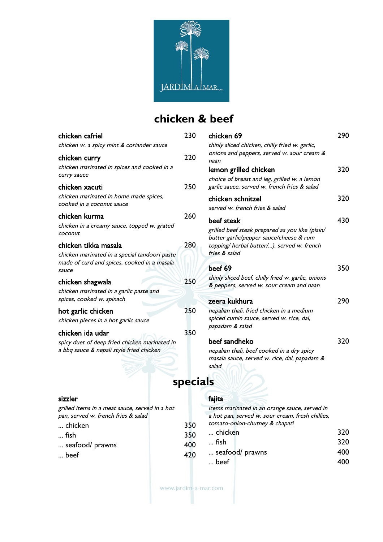

# **chicken & beef**

| chicken cafriel                                                                                               | 230             | chicken 69                                                                                                                                    | 290 |
|---------------------------------------------------------------------------------------------------------------|-----------------|-----------------------------------------------------------------------------------------------------------------------------------------------|-----|
| chicken w. a spicy mint & coriander sauce<br>chicken curry                                                    | 220             | thinly sliced chicken, chilly fried w. garlic,<br>onions and peppers, served w. sour cream &                                                  |     |
| chicken marinated in spices and cooked in a<br>curry sauce                                                    |                 | naan<br>lemon grilled chicken<br>choice of breast and leg, grilled w. a lemon                                                                 | 320 |
| chicken xacuti                                                                                                | 250             | garlic sauce, served w. french fries & salad                                                                                                  |     |
| chicken marinated in home made spices,<br>cooked in a coconut sauce                                           |                 | chicken schnitzel<br>served w. french fries & salad                                                                                           | 320 |
| chicken kurma<br>chicken in a creamy sauce, topped w. grated<br>coconut                                       | 260             | beef steak<br>grilled beef steak prepared as you like (plain/<br>butter garlic/pepper sauce/cheese & rum                                      | 430 |
| chicken tikka masala<br>chicken marinated in a special tandoori paste                                         | 280             | topping/ herbal butter/), served w. french<br>fries & salad                                                                                   |     |
| made of curd and spices, cooked in a masala<br>sauce                                                          |                 | beef 69                                                                                                                                       | 350 |
| chicken shagwala                                                                                              | 250             | thinly sliced beef, chilly fried w. garlic, onions<br>& peppers, served w. sour cream and naan                                                |     |
| chicken marinated in a garlic paste and<br>spices, cooked w. spinach                                          |                 | zeera kukhura                                                                                                                                 | 290 |
| hot garlic chicken<br>chicken pieces in a hot garlic sauce                                                    | 250             | nepalian thali, fried chicken in a medium<br>spiced cumin sauce, served w. rice, dal,<br>papadam & salad                                      |     |
| chicken ida udar<br>spicy duet of deep fried chicken marinated in<br>a bbq sauce & nepali style fried chicken | 350             | beef sandheko<br>nepalian thali, beef cooked in a dry spicy<br>masala sauce, served w. rice, dal, papadam &<br>salad                          | 320 |
|                                                                                                               | <b>specials</b> |                                                                                                                                               |     |
| sizzler<br>grilled items in a meat sauce, served in a hot<br>pan, served w. french fries & salad<br>chicken   | 350             | fajita<br>items marinated in an orange sauce, served in<br>a hot pan, served w. sour cream, fresh chillies,<br>tomato-onion-chutney & chapati |     |
|                                                                                                               |                 |                                                                                                                                               |     |

- 
- <table>\n<tbody>\n<tr>\n<td>... fish</td>\n<td>350</td>\n</tr>\n<tr>\n<td>... seafood/ prawns</td>\n<td>400</td>\n</tr>\n</tbody>\n</table> ... seafood/ prawns 400
- $...$  beef

- ... chicken 320  $\ldots$  fish
- ... seafood/ prawns 400
	- $\ldots$  beef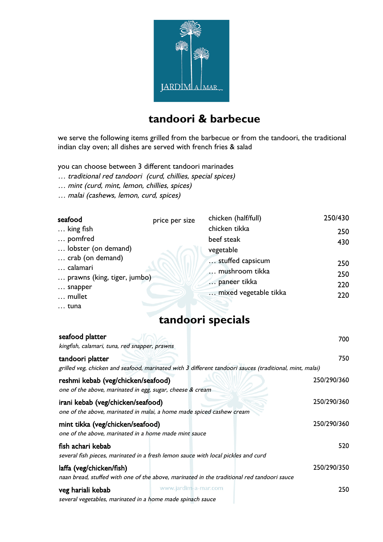

### **tandoori & barbecue**

we serve the following items grilled from the barbecue or from the tandoori, the traditional indian clay oven; all dishes are served with french fries & salad

you can choose between 3 different tandoori marinades

- … traditional red tandoori (curd, chillies, special spices)
- … mint (curd, mint, lemon, chillies, spices)
- … malai (cashews, lemon, curd, spices)

| seafood                                                                          | price per size | chicken (half/full)                                                         | 250/430                  |
|----------------------------------------------------------------------------------|----------------|-----------------------------------------------------------------------------|--------------------------|
| $\ldots$ king fish                                                               |                | chicken tikka                                                               | 250                      |
| pomfred                                                                          |                | beef steak                                                                  | 430                      |
| lobster (on demand)                                                              |                | vegetable                                                                   |                          |
| crab (on demand)<br>calamari<br>prawns (king, tiger, jumbo)<br>snapper<br>mullet |                | stuffed capsicum<br>mushroom tikka<br>paneer tikka<br>mixed vegetable tikka | 250<br>250<br>220<br>220 |
| $\ldots$ tuna                                                                    |                |                                                                             |                          |

### **tandoori specials**

| seafood platter<br>kingfish, calamari, tuna, red snapper, prawns                                                            | 700         |
|-----------------------------------------------------------------------------------------------------------------------------|-------------|
| tandoori platter<br>grilled veg, chicken and seafood, marinated with 3 different tandoori sauces (traditional, mint, malai) | 750         |
| reshmi kebab (veg/chicken/seafood)<br>one of the above, marinated in egg, sugar, cheese & cream                             | 250/290/360 |
| irani kebab (veg/chicken/seafood)<br>one of the above, marinated in malai, a home made spiced cashew cream                  | 250/290/360 |
| mint tikka (veg/chicken/seafood)<br>one of the above, marinated in a home made mint sauce                                   | 250/290/360 |
| fish achari kebab<br>several fish pieces, marinated in a fresh lemon sauce with local pickles and curd                      | 520         |
| laffa (veg/chicken/fish)<br>naan bread, stuffed with one of the above, marinated in the traditional red tandoori sauce      | 250/290/350 |
| www.jardim-a-mar.com<br>veg hariali kebab<br>several vegetables, marinated in a home made spinach sauce                     | 250         |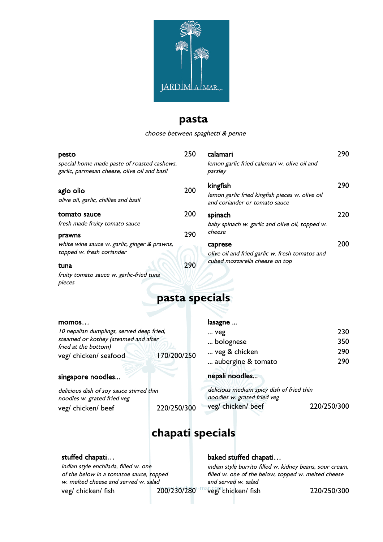

### **pasta**

choose between spaghetti & penne

| pesto<br>special home made paste of roasted cashews,<br>garlic, parmesan cheese, olive oil and basil | 250        | calamari<br>lemon garlic fried calamari w. olive oil and<br>parsley                          | 290 |
|------------------------------------------------------------------------------------------------------|------------|----------------------------------------------------------------------------------------------|-----|
| agio olio<br>olive oil, garlic, chillies and basil                                                   | 200        | kingfish<br>lemon garlic fried kingfish pieces w. olive oil<br>and coriander or tomato sauce | 290 |
| tomato sauce<br>fresh made fruity tomato sauce                                                       | 200        | spinach<br>baby spinach w. garlic and olive oil, topped w.<br>cheese                         | 220 |
| prawns<br>white wine sauce w. garlic, ginger & prawns,<br>topped w. fresh coriander<br>tuna          | 290<br>290 | caprese<br>olive oil and fried garlic w. fresh tomatos and<br>cubed mozzarella cheese on top | 200 |
| fruity tomato sauce w. garlic-fried tuna                                                             |            |                                                                                              |     |

### **pasta specials**

#### momos…

pieces

10 nepalian dumplings, served deep fried, steamed or kothey (steamed and after fried at the bottom) veg/ chicken/ seafood 170/200/250

#### singapore noodles...

delicious dish of soy sauce stirred thin noodles w. grated fried veg veg/ chicken/ beef 220/250/300

#### lasagne ...

| 230 |
|-----|
| 350 |
| 290 |
| 290 |
|     |

#### nepali noodles...

delicious medium spicy dish of fried thin noodles w. grated fried veg veg/ chicken/ beef 220/250/300

## **chapati specials**

#### stuffed chapati…

indian style enchilada, filled w. one of the below in a tomatoe sauce, topped w. melted cheese and served w. salad veg/ chicken/ fish 200/230/280

#### baked stuffed chapati…

indian style burrito filled w. kidney beans, sour cream, filled w. one of the below, topped w. melted cheese and served w. salad

veg/ chicken/ fish 220/250/300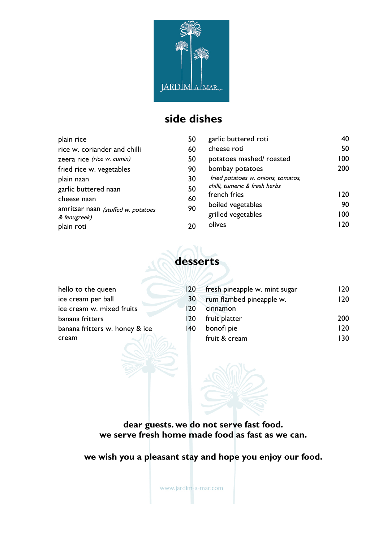

# **side dishes**

| plain rice                                         | 50       | garlic buttered roti                                                | 40  |
|----------------------------------------------------|----------|---------------------------------------------------------------------|-----|
| rice w. coriander and chilli                       | 60       | cheese roti                                                         | 50  |
| zeera rice (rice w. cumin)                         | 50       | potatoes mashed/roasted                                             | 100 |
| fried rice w. vegetables                           | 90       | bombay potatoes                                                     | 200 |
| plain naan                                         | 30       | fried potatoes w. onions, tomatos,<br>chilli, tumeric & fresh herbs |     |
| garlic buttered naan                               | 50       | french fries                                                        | 120 |
| cheese naan                                        | 60<br>90 | boiled vegetables                                                   | 90  |
| amritsar naan (stuffed w. potatoes<br>& fenugreek) |          | grilled vegetables                                                  | 100 |
| plain roti                                         | 20       | olives                                                              | 120 |

# **desserts**

| hello to the queen             | 120 | fresh pineapple w. mint sugar | 120 |
|--------------------------------|-----|-------------------------------|-----|
| ice cream per ball             | 30  | rum flambed pineapple w.      | 120 |
| ice cream w. mixed fruits      | 120 | cinnamon                      |     |
| banana fritters                | 120 | fruit platter                 | 200 |
| banana fritters w. honey & ice | 140 | bonofi pie                    | 120 |
| cream                          |     | fruit & cream                 | 130 |
|                                |     |                               |     |

**dear guests. we do not serve fast food. we serve fresh home made food as fast as we can.** 

**we wish you a pleasant stay and hope you enjoy our food.**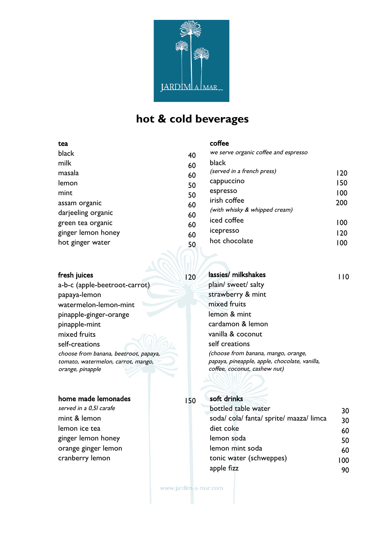

# **hot & cold beverages**

coffee

#### tea

| black<br>milk                          | 40       | we serve organic coffee and espresso<br>black |            |
|----------------------------------------|----------|-----------------------------------------------|------------|
| masala                                 | 60<br>60 | (served in a french press)                    | 120        |
| lemon                                  | 50       | cappuccino                                    | 150        |
| mint                                   | 50       | espresso                                      | 100        |
| assam organic<br>darjeeling organic    | 60<br>60 | irish coffee<br>(with whisky & whipped cream) | 200        |
| green tea organic                      | 60       | iced coffee                                   | 100        |
| ginger lemon honey<br>hot ginger water | 60       | icepresso<br>hot chocolate                    | 120<br>100 |
|                                        | 50       |                                               |            |

| fresh juices | 120 |  |
|--------------|-----|--|
|              |     |  |

a-b-c (apple-beetroot-carrot) papaya-lemon watermelon-lemon-mint pinapple-ginger-orange pinapple-mint mixed fruits self-creations choose from banana, beetroot, papaya, tomato, watermelon, carrot, mango, orange, pinapple

### home made lemonades 150

served in a 0,51 carafe mint & lemon lemon ice tea ginger lemon honey orange ginger lemon cranberry lemon

### lassies/milkshakes 110 plain/ sweet/ salty strawberry & mint mixed fruits lemon & mint cardamon & lemon vanilla & coconut self creations (choose from banana, mango, orange, papaya, pineapple, apple, chocolate, vanilla, coffee, coconut, cashew nut)

### soft drinks

| bottled table water                | 30  |
|------------------------------------|-----|
| soda/cola/fanta/sprite/maaza/limca | 30  |
| diet coke                          | 60  |
| lemon soda                         | 50  |
| lemon mint soda                    | 60  |
| tonic water (schweppes)            | 100 |
| apple fizz                         |     |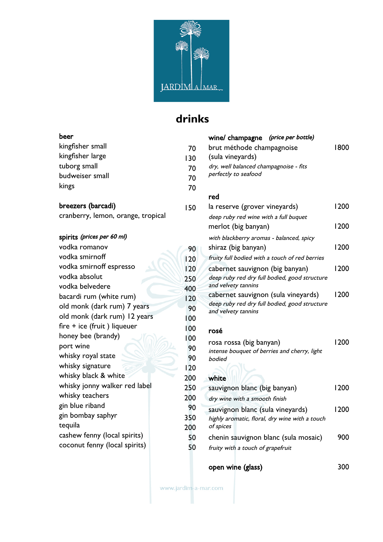

# **drinks**

| veer             |     |
|------------------|-----|
| kingfisher small | 70  |
| kingfisher large | 130 |
| tuborg small     | 70  |
| budweiser small  | 70  |
| kings            | 70  |
|                  |     |

### breezers (barcadi) 150

cranberry, lemon, orange, tropical

### spirits (prices per 60 ml)

| vodka romanov                 | 90  |
|-------------------------------|-----|
| vodka smirnoff                | 120 |
| vodka smirnoff espresso       | 120 |
| vodka absolut                 | 250 |
| vodka belvedere               | 400 |
| bacardi rum (white rum)       | 120 |
| old monk (dark rum) 7 years   | 90  |
| old monk (dark rum) 12 years  | 100 |
| fire + ice (fruit) liqueuer   | 100 |
| honey bee (brandy)            | 100 |
| port wine                     | 90  |
| whisky royal state            | 90  |
| whisky signature              | 120 |
| whisky black & white          | 200 |
| whisky jonny walker red label | 250 |
| whisky teachers               | 200 |
| gin blue riband               | 90  |
| gin bombay saphyr             | 350 |
| tequila                       | 200 |
| cashew fenny (local spirits)  | 50  |
| coconut fenny (local spirits) | 50  |
|                               |     |

| (price per bottle)<br>wine/ champagne<br>brut méthode champagnoise<br>(sula vineyards)<br>dry, well balanced champagnoise - fits<br>perfectly to seafood | 1800 |
|----------------------------------------------------------------------------------------------------------------------------------------------------------|------|
| red                                                                                                                                                      |      |
| la reserve (grover vineyards)                                                                                                                            | 1200 |
| deep ruby red wine with a full buquet<br>merlot (big banyan)                                                                                             | 1200 |
| with blackberry aromas - balanced, spicy                                                                                                                 |      |
| shiraz (big banyan)                                                                                                                                      | 1200 |
| fruity full bodied with a touch of red berries                                                                                                           |      |
| cabernet sauvignon (big banyan)<br>deep ruby red dry full bodied, good structure<br>and velvety tannins                                                  | 1200 |
| cabernet sauvignon (sula vineyards)<br>deep ruby red dry full bodied, good structure<br>and velvety tannins                                              | 1200 |
| rosé                                                                                                                                                     |      |
| rosa rossa (big banyan)<br>intense bouquet of berries and cherry, light<br>bodied                                                                        | 1200 |
| white                                                                                                                                                    |      |
| sauvignon blanc (big banyan)                                                                                                                             | 1200 |
| dry wine with a smooth finish                                                                                                                            |      |
| sauvignon blanc (sula vineyards)<br>highly aromatic, floral, dry wine with a touch<br>of spices                                                          | 1200 |
| chenin sauvignon blanc (sula mosaic)                                                                                                                     | 900  |
| fruity with a touch of grapefruit                                                                                                                        |      |

open wine (glass) 300